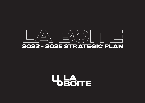

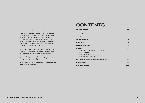### **CONTENTS**

#### ACKNOWLEDGMENT OF COUNTRY

At La Boite, we acknowledge the traditional custodians of the land on which we work – the Turrbal and Jagera people. We pay our respects to their Elders past, present, and emerging. We honour the Aboriginal and Torres Strait Islander people, the First Australians, whose lands, winds and waters we all now share, and their ancient and enduring cultures.

This country was home to storytelling long before La Boite and we are grateful for the privilege of sharing our stories today. This always was, and always will be, Aboriginal land. We engage with Aboriginal and Torres Strait Islander peoples, supporting their right to self-determine artistic identity, while promoting artists and emerging talent, audience development and community engagement.

| <b>STATEMENTS</b><br><b>Our Vision</b><br><b>Our Mission</b><br>We Value                                                     | P <sub>2</sub> |
|------------------------------------------------------------------------------------------------------------------------------|----------------|
| <b>WHAT WE DO</b>                                                                                                            | P3             |
| <b>CONTEXT</b>                                                                                                               | P4             |
| <b>ARTISTIC VISION</b>                                                                                                       | P5             |
| <b>GOALS</b><br>Goal 1. Artists and Audiences Together<br>Goal 2. Create<br>Goal 3. Leadership<br>Goal 4. Fit for the Future | P <sub>6</sub> |
| <b>STAKEHOLDERS AND THEIR ROLES</b>                                                                                          | P8             |
| <b>OUR TEAM</b>                                                                                                              | P9             |
| <b>GOVERNANCE</b>                                                                                                            | <b>P10</b>     |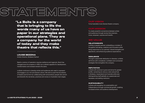# STATEMENTS

"La Boite is a company that is bringing to life the words many of us have on paper in our strategies and operational plans. They are a company for the world of today and they make theatre that reflects this."

#### LOUISE BEZZINA

Artistic Director, Brisbane Festival

Nearly a century of operation requires resilience and ingenuity. Much has changed since its inception in 1925, but La Boite's appetite for development, transformation and renewal remains the same.

La Boite continues to develop artists and audiences who seek to represent and engage in our rich and diverse culture. We exist to push the boundaries of theatre and its form by collaborating with extraordinary people who enrich and diversify the narratives, practices and voices on Australia's main stages.

To be Australia's most diverse theatre company.

To create powerful connections between artists and audiences through stories that entertain, move, empower, surprise and transfix.

### WE VALUE

#### RELATIONSHIPS

La Boite is people-centred, embedding a mindset of thoughtful risk-taking, creativity and innovation while being responsive to our partners' shared strengths and aspirations, and enhancing audience expectations.

#### RESILIENCE

Through a passionate dedication to diversity, La Boite will thrive with considered, confident and connected strategies that strengthen the company.

#### **REPUTATION**

La Boite will continue to grow and strive for greater profile, cementing its role as a vital cultural hub in Brisbane, Queensland and Australia while also distinguishing itself globally as a passionate and necessary storytelling institution.

#### **SUSTAINABILITY**

La Boite will strengthen its sustainability and independence through commercial growth, enabling increased artistic and audience development.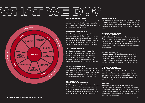## $\rm W_A V/|\equiv]/\triangle\sqrt{|\Gamma|}$   $\rm W_A V/|\equiv|D)($



In each annual season, work will be programmed with a careful mix of both risk-taking critical new works, and more commercial, box-office focused productions that consider existing audiences.

#### ARTISTS IN RESIDENCE

Through its rigorous development pipeline, La Boite supports artists with bespoke 12- to 24-month programs designed to develop their specific work and processes. This includes commissions, creative developments and ongoing investment through extended sector collaboration to create new works.

#### HWY DEVELOPMENT

La Boite supports artist and audience development through the HWY Development program, which includes a series of public showings of work in developments by local and nationally significant artists, workshops and masterclasses, critical discourse and extended activity throughout the year.

#### YOUTH & EDUCATION

La Boite's programs align with the Queensland and National Drama Curriculums and provides educational and training experiences for school students, teachers and emerging artists, making our annual Youth & Education offerings both relevant and responsive.

#### TOURING AND REGIONAL ENGAGEMENT

By delivering regional and national touring productions, direct transfers, as well as securing co-productions of new works, La Boite strategically aligns itself with like-minded companies and organisations to expand regionally and consolidate audience engagement.

#### PARTNERSHIPS

By developing valuable and engaged partnerships that focus on special projects and productions, La Boite cultivates deep connections and collaborations through reciprocity, access, integration and ongoing conversations about the value of the arts.

#### SECTOR LEADERSHIP AND ENGAGEMENT

La Boite's Board and management will continue to advocate for the company and the wider arts sector across local, state, national and international platforms. This includes leadership and participation at arts markets, forums, assessment panels, mentorship opportunities and extracurricular artistic engagements.

#### SPECIAL EVENTS

As part of La Boite's Place-making Strategy, La Boite will curate a program of community engagement activities and multi-artform public programming within our precinct. Collaborating and engaging with communities is integral to the works we present and develop in our annual program.

#### VENUE HIRE, BAR & CAFE OPERATIONS

Since its 2017 renovation, the La Boite Espresso Bar has expanded its offering to service audiences and the local community. La Boite can cater to many different events and functions in both our Roundhouse Theatre, La Boite Studio, bar and foyer areas.

#### DIGITAL

As we enter our second century of operations, La Boite focuses on ensuring that digital touchpoints exist in all we do to enhance our physical interactions. La Boite embraces and adopts technology with purpose, in the pursuit of operational excellence and our commitment to accessibility for artists, audiences and communities.

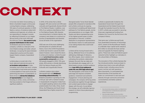# CONTEXT

In its inner-city Kelvin Grove setting, La Boite is Australia's longest continuously running theatre company, celebrating 100 years of continual operation in 2025. Nearly a century of existence takes both resilience and ingenuity; at La Boite, we are responding to changes in society by reflecting its diversity on our stages. We are home to the iconic 400-seat Roundhouse Theatre, **the country's only purpose-built theatre-in-the-round.**

As Brisbane's second tier theatre company, La Boite is a vital part of the city's theatre ecology and wider cultural landscape, occupying the space between independent practice and the state's largest theatre company, Queensland Theatre.

La Boite plays a crucial role in the local, state and national arts sector as **an incubator and producer** of risky, innovative, and critical new work. La Boite is committed to local artists and provides a critical pipeline of new work across the performing arts sector in Queensland. La Boite strives to **redress the imbalance of representation** on our stages by focusing on artists, voices, and stories that have existed on the fringes without a significant platform.

In 2019, of the artists that La Boite engaged, 51% were women and 45% were culturally and linguistically diverse (CALD) or First Nations People. In addition, over 20% of our audience identified as CALD or First Nations People. With diversity now entrenched in La Boite's identity, the company's next phase is to continue our journey of representation and diversity across all levels of the organisation.

2020 was one of the most challenging and disruptive of La Boite's 95-year history. Due to the COVID-19 pandemic La Boite was forced to cancel the 2020 season however, never closed the doors to artists and creatives. La Boite focused on and **prioritised innovation, sector sustainability and growth** and of the 252 people engaged in 2020; 70% were artists, 60% women or female identifying, 20% First Nations People and 30% Culturally and Linguistically Diverse.

#### La Boite's creative vision aligns demographically with **Brisbane's increasing cultural diversity.** The

Brisbane population is growing at a rate of 2% per year<sup>1</sup> with a marked increase in Queensland's immigration intake from non-English speaking nations since 2005, predominately from India, China, South Africa, the Philippines and South Korea<sup>2</sup>. Queensland has a higher proportion of

Aboriginal and/or Torres Strait Islander people (4%) compared to Australia (2.4%) and La Boite continues its ongoing commitment to enabling self determined pathways for First Nations people, stories and presentations on our stages. With theatre and dance representing some of the highest growth areas in public participation in the arts<sup>3</sup>, La Boite's dedication to progressive representation and diversity means it is well-positioned to be making theatre that is both bold and relevant.

La Boite will be moving forward with a strong, deliberate focus on its audience, addressing challenges of relevancy, box office targets, return visitation and cultivating the symbiotic relationship between the work that we make and the individuals who engage with it. La Boite boasts a strong, youthful audience base **(over 40% of our audience is under 30; over 30% high school-age).** This demographic is the future of arts patronage and requires consistent guidance, investment and authentic engagement. In future planning and campaigns, the company will bring artists and audiences together through dialogue and curated opportunities to engage deeper with the work. As we deliver this strategy, we will undertake rigorous research to inform future planning and programming.

La Boite is operationally funded by the Queensland Government through Arts Queensland and the Federal Government through the Australia Council for the Arts. In 2017, La Boite was successful in securing three-year organisational funding from Brisbane City Council for the first time in the company's history.

That same year, La Boite secured funds from Queensland University of Technology (QUT), owners of the Roundhouse Theatre, to undertake major capital works valued at \$1.5 million to renovate the foyer and bar areas and upgrade the theatre's lighting gantry. These local, state and federal support networks further highlight our vital place in the cultural fabric of Brisbane.

The renovation of the La Boite Espresso Bar has introduced another revenue stream to achieve (over time) a more self-sufficient funding model, including venue hire for events, and bar and cafe operations. More importantly, it is anticipated that these branches of the business will foster our commitment to new work and diversity through community and sector connectedness and better audience experiences.

<sup>1.</sup> https://www.brisbane.qld.gov.au/about-council/governanceand-strategy/business-in-brisbane/business-opportunities/ brisbane-community-profiles

<sup>2.</sup> https://www.dlgrma.qld.gov.au/multicultural-affairs/ multicultural-communities/multicultural-diversity-figures.html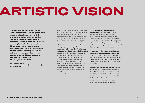# ARTISTIC VISION

"I love La Boite because of their true commitment to being inclusive, dynamic, local and relevant. By wanting to bring diverse stories to their stage they created the platform for me, a mature Chinese woman, to finally have a real voice. They gave me an opportunity which relaunched my entire acting career. Supported my needs for being a working mother of two young ones and have become like my second family. Thank you La Boite! "

HSIAO-LING TANG, SINGLE ASIAN FEMALE (2017 – ONGOING) #35REASONS

Our artistic vision and our business strategy are deeply interconnected. The following principles guide our artistic rationale and drive our ongoing assessment of our artistic and cultural vibrancy. A holistic approach to our strategic plan will drive every aspect of the company.

### La Boite will continue to **champion diversity** with ongoing and meaningful development and **representation of gender, First Nations, CALD, LGBTIQ+, d/Deaf and/or disabled artists**

and their work. This involves the programming of critical artists, companies, stories, and storytellers that produce vital theatre that connects with audiences on a personal, political, and global level. La Boite invests in artists, companies, and new theatre forms that sit at the forefront of contemporary theatre practice. The connectedness, relevance, and cultural significance of these narratives will articulate a vision for a future of arts practice in Brisbane and beyond.

#### We will **unify artists, audiences and**

**communities** through a shared journey of development, creation, and delivery of high-calibre theatre works. Alongside the commitment to diversity and representation on our stages, La Boite will invest in the growth of audiences and deeply understand and align with the overarching vision for the company and its ongoing contribution to the sector.

#### The company will act as **a vital incubator for the seeding and development of new work**

within the Brisbane and Queensland sector through the delivery of a comprehensive annual Artist Development program which includes Artists in Residence, Assistant Creatives, HWY and more.

**Fiercely local and outward-looking,** La Boite will continue to grow its significant legacy as a local theatre company. As a producing house, we champion and develop our local artists and value their wisdom and essential contribution. La Boite will continue to foster artistic growth and the company's impact and outreach on a local, national, and international scale.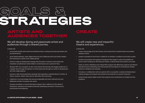# GOALS & STRATEGIES

### ARTISTS AND AUDIENCES TOGETHER

### We will develop daring and passionate artists and audiences through a shared journey.

#### La Boite will;

- incorporate equally both artists and audiences when curating and producing theatre and live performance;
- grow shared pathways, open digital resources and collaborate with local artistic leaders and institutions to better work collaboratively;
- build an audience development strategy that focusses on diverse communities that translates complimentary ticket holders to ticket buyers over a period of time;
- develop HWY into a program of year round events that educate and engage audiences on a deeper level through the delivery of critical discourse through our works-in-development and main stage seasons;
- execute a clear brand awareness campaign that engenders understanding of La Boite, its history, location, artistic vision and its role within the community;
- implement a touring strategy that secures sustainable and smart national tours and deliberate transfers of popular new works;
- produce and deliver a Youth & Education program that is reflective of the needs of institutions, educators and students while also developing the sector's future actors, practitioners and audiences.

### We will create new and impactful theatre and experiences.

**CREATE** 

#### La Boite will;

- create cutting-edge work with diverse communities that is transformative and enables people to thrive;
- present a standard of work that is notable for its ambition, excellence and artistic quality;
- produce and present work against a framework that ranges in scale and suitability for various sites including our Roundhouse Theatre, La Boite Studio and outdoor surrounds;
- foster an Artist in Residence and rolling HWY program that effectively supports and delivers aspirational and outstanding work that pushes the boundaries of contemporary theatre practice in Brisbane and Australia;
- introduce, in collaboration with our partner QUT, a successful, curated and shared placemaking strategy and program that enhances and extends our precinct long-term.
- produce high quality digital content that supports and compliments our theatre and live programs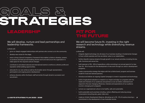# GOALS & STRATEGIE

### LEADERSHIP

## FIT FOR<br>THE FUTURE

### We will develop, nurture and lead partnerships and leadership frameworks.

#### La Boite will;

- grow our deeply-engaged relationships with partners who connect us to the community;
- develop new voices for the stage;
- enact a living Cultural Competency Framework that enables La Boite to develop, present, co-produce and lead ground-breaking diverse work and restructure the organisation to make space for the required cultural changes;
- contribute to and attend national and international events to reinforce La Boite's profile and reputation while building opportunities;
- advocate for our own artists as well as the broader sector through representation, participation and ongoing sector development;
- enhance diversity within the Board, staff and artists through dynamic succession and recruitment.

We will become future-fit, investing in the right research and technology while diversifying revenue streams.

#### La Boite will;

- integrate digital technology into all areas of our business resulting in fundamental changes to how La Boite operates and how we deliver value to our stakeholders;
- further diversify revenue streams through growth in our venue's activities including the bar. cafe, functions and venue hire;
- buld reserves to 15% 20% of expenditure, while commiting to an annual spend of no less than 3% - 5% of surplus for the development of new work through our artist in development programs;
- create a sponsorship strategy that aligns with the La Boite brand, program and business model for local and national partners;
- introduce and deliver an ongoing Capital Campaign to invest in equipment and technology;
- build a longitudinal evaluation to research our impact and align our programs with the needs and interests of our audiences and partners so we can better understand and respond to the ever-changing influences, interests and expectations of our audience (current, emerging and untapped);
- nurture our organisational culture to be healthy, safe and sustainable;
- build sustainable work practises including, carbon offsetting and reducing energy consumption (recycling sets, green riders etc);
- LA BOITE STRATEGIC PLAN 2022 2025 **7** The State and Artistic Development Reserve, allocating up to 3% 5% of surplus ensuring a **7** commitment to the development of new Australian stories.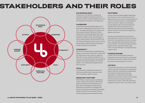### STAKEHOLDERS AND THEIR ROLES



#### GOVERNING BODY

The Board work with the CEO to develop and implement strategies and supporting policies to enable the company to fulfil the objectives set out in the organisation's constitution and strategic plan.

#### AUDIENCES

Our growing and diverse audience aligns with La Boite's values, celebrating the development of new work. They reflect the diversity of our program and remain passionate about theatre and its forms, inviting them to a theatre that places their voices and stories on stage. La Boite will increase return visitation and continue to service and engage our strong youthful audience. We will continue to work with local and interstate partners to ensure our work reaches diverse audiences locally and nationally through touring and co-productions.

#### **COMMUNITY**

We witness the transformative storytelling that can happen in communities and we want to make stories that reflect diverse voices, share our values and align with our goals, passions and ambitions. Our community is broad and diverse; urban and regional, individuals of all ages and genders, First Nations, LGBTQI+, CALD, d/Deaf and/or disabled and the wider arts sector.

#### **TEAM**

The La Boite team respectfully and generously combine their efforts, skills, resources and artssector knowledge to deliver our goals.

#### RESEARCH PARTNER

Patternmakers, a research agency specialising in culture, creativity and community, will provide a Research Framework and Data Roadmap for La Boite. Areas of investigation include audience development, best practice for engaging with diverse communities, and a dynamic place-making strategy as well as informing La Boite's internal decisions regarding external stakeholder needs.

#### **PARTNERS**

La Boite creates and seeks engaged relationships with all sponsors, donors and partners that have aligned values and an interest in building reciprocity. Long term corporate partners, including Brisbane Airport Corporation, deepen their partnership through alignment with innovative projects and programs while community partners such as Multicultural Australia and Screen Queensland support La Boite in connecting with targeted and aligned communities.

La Boite pursues development and production partnerships with the local and national arts sector, particularly the independent and small- to mediumsector, including Dead Puppet Society, Digi Youth Arts and Playlab, with major partnerships including Brisbane Festival, Opera Queensland, QPAC, HOTA, Arts Centre Melbourne, and Australian Plays Transform (APT).

#### FUNDING BODIES

La Boite's primary funding bodies include the Queensland Government through Arts Queensland, the Federal Government through Australia Council for the Arts as well as Brisbane City Council.

#### ARTISTS

The performing arts sector is a diverse stakeholder. La Boite works with local Brisbane and Queensland makers, while also connecting and ccollaborating with national and international artists and organisations. La Boite's diverse storytellers represent the community in which we live, bringing to life the urgent and necessary stories not limited by form or style. In 2019, 47% of all artistic engagements went to CALD or First Nations artists.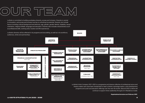## OUR TEAM

La Boite is committed to building workplace diversity, access and inclusion. Diversity is central to innovation, and access and inclusion are key to unlocking its potential. Diversity can include factors including cultural background and ethnicity, age, gender, gender identity, disability, sexual orientation, religious beliefs, language and education. Diversity also includes characteristics such as professional skills, working style, location and life experiences.

La Boite's diversity will be reflected in its programs and storytelling, as well as in its workforce, **BOARD** audiences, artists and partnerships. ARTISTIC **EXECUTIVE DIRECTOR DIRECTOR** YOUTH & MARKETING & PARTNERSHIP & PRODUCTION FINANCE & VENUE EDUCATION CREATIVE PRODUCERDEVELOPMENT AUDIENCE DEV MANAGER **MANAGER PRODUCER** MANAGER MANAGER 3 DIRECTORS IN **RESIDENCE MANAGER** ARTIST COMPANY MANAGER PROGRAM ADMINISTRATOR BAR & FOH **TECHNICAL** MARKETING CASUAL & COORDINATOR COORDINATOR COORDINATOR PROJECT STAFF PART TIME 12 X ACTORS IN **RESIDENCE COMPANY COMMUNITY GRAPHIC** TICKETING & **TEACHING OUTREACH WORKSHOP DESIGNER RECEPTION** PRODUCER/S\* COORDINATOR **ARTISTS OFFICER** PART TIME (CONTRACT) WRITERS IN **RESIDENCE RTIST** PUBLIC PROGRAM **ASSISTANT PUBLICIST** CURATOR/S ACCOUNTANT 4 X CREATIVES IN EXTERNAL PART TIME (CONTRACT) **RESIDENCE** ₹ PART TIME (LIGHTING, SOUND, VIDEO & SET & COSTUME)

> La Boite's Artist Company 2021 -2022 is a progressive and diverse collective of professional actors and theatre-makers who have been handpicked to lead La Boite's mainstage season, artist development programs and youth and education offerings over the next 18-months. Beyond 2022 La Boite will continue to support Artist Leadership through an In-Residence model.

> > **Organisational structure as of February 2021**